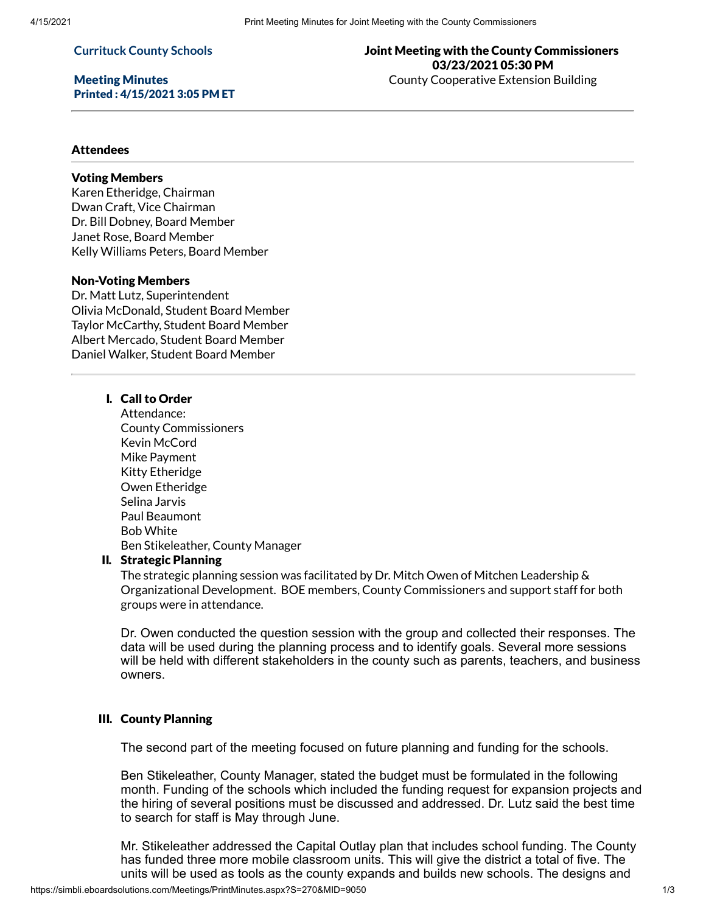#### **Currituck County Schools**

### Meeting Minutes Printed : 4/15/2021 3:05 PM ET

# Joint Meeting with the County Commissioners 03/23/2021 05:30 PM County Cooperative Extension Building

### **Attendees**

#### Voting Members

Karen Etheridge, Chairman Dwan Craft, Vice Chairman Dr. Bill Dobney, Board Member Janet Rose, Board Member Kelly Williams Peters, Board Member

# Non-Voting Members

Dr. Matt Lutz, Superintendent Olivia McDonald, Student Board Member Taylor McCarthy, Student Board Member Albert Mercado, Student Board Member Daniel Walker, Student Board Member

# I. Call to Order

Attendance: County Commissioners Kevin McCord Mike Payment Kitty Etheridge Owen Etheridge Selina Jarvis Paul Beaumont Bob White Ben Stikeleather, County Manager

#### II. Strategic Planning

The strategic planning session was facilitated by Dr. Mitch Owen of Mitchen Leadership & Organizational Development. BOE members, County Commissioners and support staff for both groups were in attendance.

Dr. Owen conducted the question session with the group and collected their responses. The data will be used during the planning process and to identify goals. Several more sessions will be held with different stakeholders in the county such as parents, teachers, and business owners.

# III. County Planning

The second part of the meeting focused on future planning and funding for the schools.

Ben Stikeleather, County Manager, stated the budget must be formulated in the following month. Funding of the schools which included the funding request for expansion projects and the hiring of several positions must be discussed and addressed. Dr. Lutz said the best time to search for staff is May through June.

Mr. Stikeleather addressed the Capital Outlay plan that includes school funding. The County has funded three more mobile classroom units. This will give the district a total of five. The units will be used as tools as the county expands and builds new schools. The designs and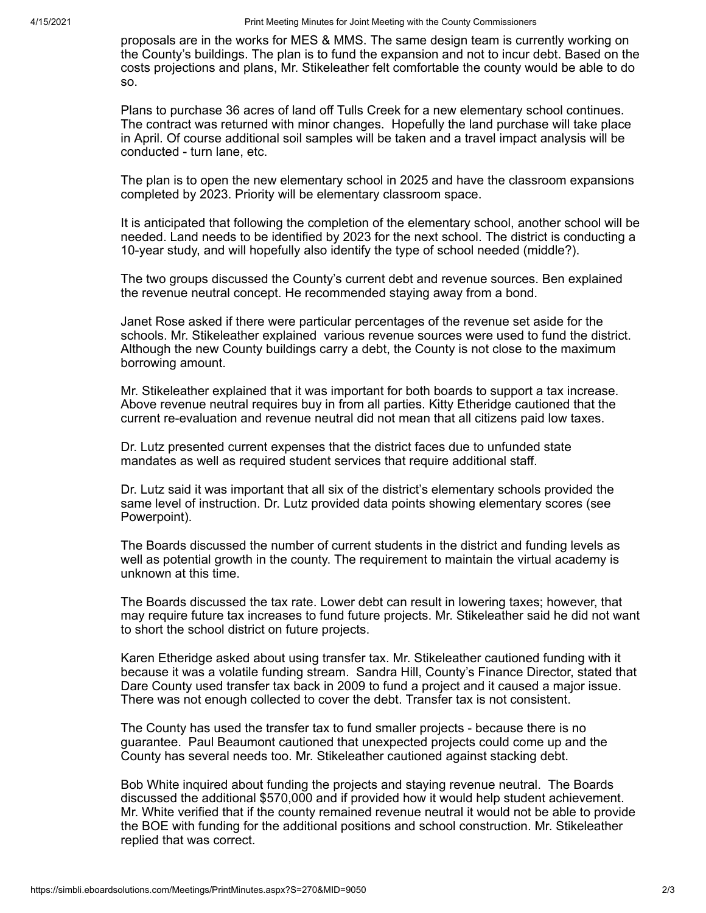proposals are in the works for MES & MMS. The same design team is currently working on the County's buildings. The plan is to fund the expansion and not to incur debt. Based on the costs projections and plans, Mr. Stikeleather felt comfortable the county would be able to do so.

Plans to purchase 36 acres of land off Tulls Creek for a new elementary school continues. The contract was returned with minor changes. Hopefully the land purchase will take place in April. Of course additional soil samples will be taken and a travel impact analysis will be conducted - turn lane, etc.

The plan is to open the new elementary school in 2025 and have the classroom expansions completed by 2023. Priority will be elementary classroom space.

It is anticipated that following the completion of the elementary school, another school will be needed. Land needs to be identified by 2023 for the next school. The district is conducting a 10-year study, and will hopefully also identify the type of school needed (middle?).

The two groups discussed the County's current debt and revenue sources. Ben explained the revenue neutral concept. He recommended staying away from a bond.

Janet Rose asked if there were particular percentages of the revenue set aside for the schools. Mr. Stikeleather explained various revenue sources were used to fund the district. Although the new County buildings carry a debt, the County is not close to the maximum borrowing amount.

Mr. Stikeleather explained that it was important for both boards to support a tax increase. Above revenue neutral requires buy in from all parties. Kitty Etheridge cautioned that the current re-evaluation and revenue neutral did not mean that all citizens paid low taxes.

Dr. Lutz presented current expenses that the district faces due to unfunded state mandates as well as required student services that require additional staff.

Dr. Lutz said it was important that all six of the district's elementary schools provided the same level of instruction. Dr. Lutz provided data points showing elementary scores (see Powerpoint).

The Boards discussed the number of current students in the district and funding levels as well as potential growth in the county. The requirement to maintain the virtual academy is unknown at this time.

The Boards discussed the tax rate. Lower debt can result in lowering taxes; however, that may require future tax increases to fund future projects. Mr. Stikeleather said he did not want to short the school district on future projects.

Karen Etheridge asked about using transfer tax. Mr. Stikeleather cautioned funding with it because it was a volatile funding stream. Sandra Hill, County's Finance Director, stated that Dare County used transfer tax back in 2009 to fund a project and it caused a major issue. There was not enough collected to cover the debt. Transfer tax is not consistent.

The County has used the transfer tax to fund smaller projects - because there is no guarantee. Paul Beaumont cautioned that unexpected projects could come up and the County has several needs too. Mr. Stikeleather cautioned against stacking debt.

Bob White inquired about funding the projects and staying revenue neutral. The Boards discussed the additional \$570,000 and if provided how it would help student achievement. Mr. White verified that if the county remained revenue neutral it would not be able to provide the BOE with funding for the additional positions and school construction. Mr. Stikeleather replied that was correct.